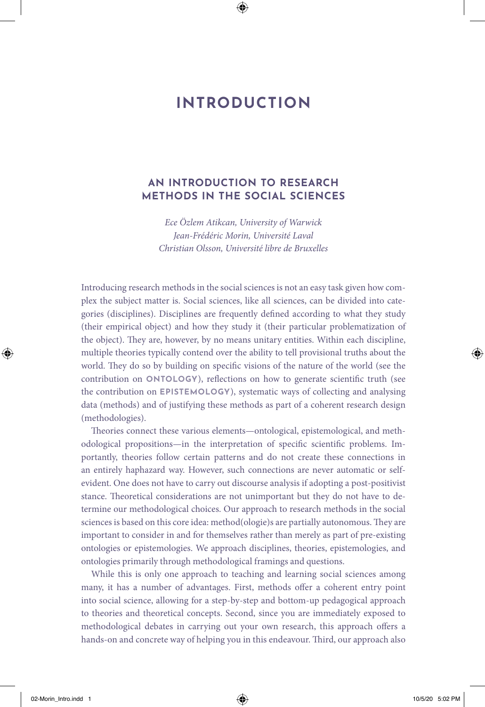# **INTRODUCTION**

# **AN INTRODUCTION TO RESEARCH METHODS IN THE SOCIAL SCIENCES**

*Ece Özlem Atikcan, University of Warwick Jean-Frédéric Morin, Université Laval Christian Olsson, Université libre de Bruxelles*

Introducing research methods in the social sciences is not an easy task given how complex the subject matter is. Social sciences, like all sciences, can be divided into categories (disciplines). Disciplines are frequently defined according to what they study (their empirical object) and how they study it (their particular problematization of the object). They are, however, by no means unitary entities. Within each discipline, multiple theories typically contend over the ability to tell provisional truths about the world. They do so by building on specific visions of the nature of the world (see the contribution on **ONTOLOGY**), reflections on how to generate scientific truth (see the contribution on **EPISTEMOLOGY**), systematic ways of collecting and analysing data (methods) and of justifying these methods as part of a coherent research design (methodologies).

Theories connect these various elements—ontological, epistemological, and methodological propositions—in the interpretation of specific scientific problems. Importantly, theories follow certain patterns and do not create these connections in an entirely haphazard way. However, such connections are never automatic or selfevident. One does not have to carry out discourse analysis if adopting a post-positivist stance. Theoretical considerations are not unimportant but they do not have to determine our methodological choices. Our approach to research methods in the social sciences is based on this core idea: method(ologie)s are partially autonomous. They are important to consider in and for themselves rather than merely as part of pre-existing ontologies or epistemologies. We approach disciplines, theories, epistemologies, and ontologies primarily through methodological framings and questions.

While this is only one approach to teaching and learning social sciences among many, it has a number of advantages. First, methods offer a coherent entry point into social science, allowing for a step-by-step and bottom-up pedagogical approach to theories and theoretical concepts. Second, since you are immediately exposed to methodological debates in carrying out your own research, this approach offers a hands-on and concrete way of helping you in this endeavour. Third, our approach also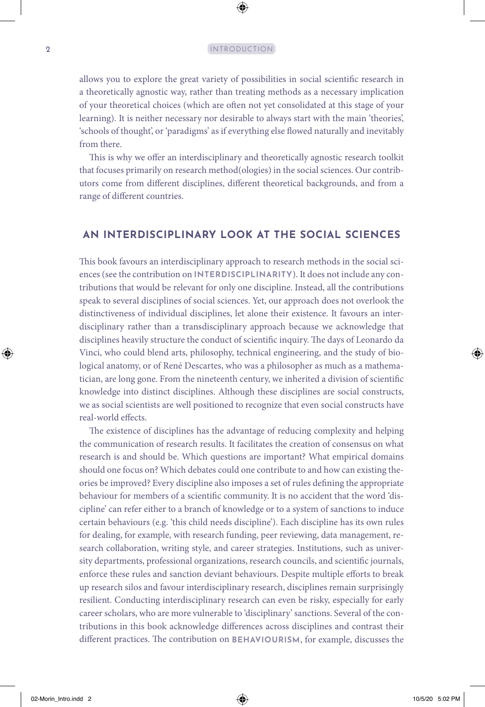allows you to explore the great variety of possibilities in social scientific research in a theoretically agnostic way, rather than treating methods as a necessary implication of your theoretical choices (which are often not yet consolidated at this stage of your learning). It is neither necessary nor desirable to always start with the main 'theories', 'schools of thought', or 'paradigms' as if everything else flowed naturally and inevitably from there.

This is why we offer an interdisciplinary and theoretically agnostic research toolkit that focuses primarily on research method(ologies) in the social sciences. Our contributors come from different disciplines, different theoretical backgrounds, and from a range of different countries.

### **AN INTERDISCIPLINARY LOOK AT THE SOCIAL SCIENCES**

This book favours an interdisciplinary approach to research methods in the social sciences (see the contribution on **INTERDISCIPLINARITY**). It does not include any contributions that would be relevant for only one discipline. Instead, all the contributions speak to several disciplines of social sciences. Yet, our approach does not overlook the distinctiveness of individual disciplines, let alone their existence. It favours an interdisciplinary rather than a transdisciplinary approach because we acknowledge that disciplines heavily structure the conduct of scientific inquiry. The days of Leonardo da Vinci, who could blend arts, philosophy, technical engineering, and the study of biological anatomy, or of René Descartes, who was a philosopher as much as a mathematician, are long gone. From the nineteenth century, we inherited a division of scientific knowledge into distinct disciplines. Although these disciplines are social constructs, we as social scientists are well positioned to recognize that even social constructs have real-world effects.

The existence of disciplines has the advantage of reducing complexity and helping the communication of research results. It facilitates the creation of consensus on what research is and should be. Which questions are important? What empirical domains should one focus on? Which debates could one contribute to and how can existing theories be improved? Every discipline also imposes a set of rules defining the appropriate behaviour for members of a scientific community. It is no accident that the word 'discipline' can refer either to a branch of knowledge or to a system of sanctions to induce certain behaviours (e.g. 'this child needs discipline'). Each discipline has its own rules for dealing, for example, with research funding, peer reviewing, data management, research collaboration, writing style, and career strategies. Institutions, such as university departments, professional organizations, research councils, and scientific journals, enforce these rules and sanction deviant behaviours. Despite multiple efforts to break up research silos and favour interdisciplinary research, disciplines remain surprisingly resilient. Conducting interdisciplinary research can even be risky, especially for early career scholars, who are more vulnerable to 'disciplinary' sanctions. Several of the contributions in this book acknowledge differences across disciplines and contrast their different practices. The contribution on **BEHAVIOURISM**, for example, discusses the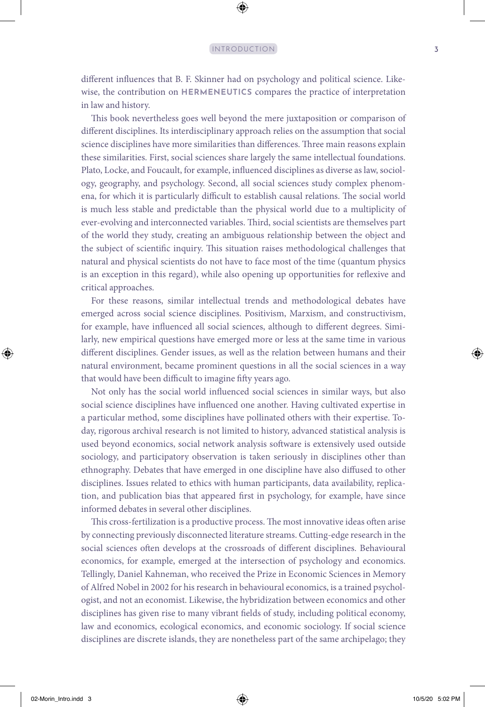different influences that B. F. Skinner had on psychology and political science. Likewise, the contribution on **HERMENEUTICS** compares the practice of interpretation in law and history.

This book nevertheless goes well beyond the mere juxtaposition or comparison of different disciplines. Its interdisciplinary approach relies on the assumption that social science disciplines have more similarities than differences. Three main reasons explain these similarities. First, social sciences share largely the same intellectual foundations. Plato, Locke, and Foucault, for example, influenced disciplines as diverse as law, sociology, geography, and psychology. Second, all social sciences study complex phenomena, for which it is particularly difficult to establish causal relations. The social world is much less stable and predictable than the physical world due to a multiplicity of ever-evolving and interconnected variables. Third, social scientists are themselves part of the world they study, creating an ambiguous relationship between the object and the subject of scientific inquiry. This situation raises methodological challenges that natural and physical scientists do not have to face most of the time (quantum physics is an exception in this regard), while also opening up opportunities for reflexive and critical approaches.

For these reasons, similar intellectual trends and methodological debates have emerged across social science disciplines. Positivism, Marxism, and constructivism, for example, have influenced all social sciences, although to different degrees. Similarly, new empirical questions have emerged more or less at the same time in various different disciplines. Gender issues, as well as the relation between humans and their natural environment, became prominent questions in all the social sciences in a way that would have been difficult to imagine fifty years ago.

Not only has the social world influenced social sciences in similar ways, but also social science disciplines have influenced one another. Having cultivated expertise in a particular method, some disciplines have pollinated others with their expertise. Today, rigorous archival research is not limited to history, advanced statistical analysis is used beyond economics, social network analysis software is extensively used outside sociology, and participatory observation is taken seriously in disciplines other than ethnography. Debates that have emerged in one discipline have also diffused to other disciplines. Issues related to ethics with human participants, data availability, replication, and publication bias that appeared first in psychology, for example, have since informed debates in several other disciplines.

This cross-fertilization is a productive process. The most innovative ideas often arise by connecting previously disconnected literature streams. Cutting-edge research in the social sciences often develops at the crossroads of different disciplines. Behavioural economics, for example, emerged at the intersection of psychology and economics. Tellingly, Daniel Kahneman, who received the Prize in Economic Sciences in Memory of Alfred Nobel in 2002 for his research in behavioural economics, is a trained psychologist, and not an economist. Likewise, the hybridization between economics and other disciplines has given rise to many vibrant fields of study, including political economy, law and economics, ecological economics, and economic sociology. If social science disciplines are discrete islands, they are nonetheless part of the same archipelago; they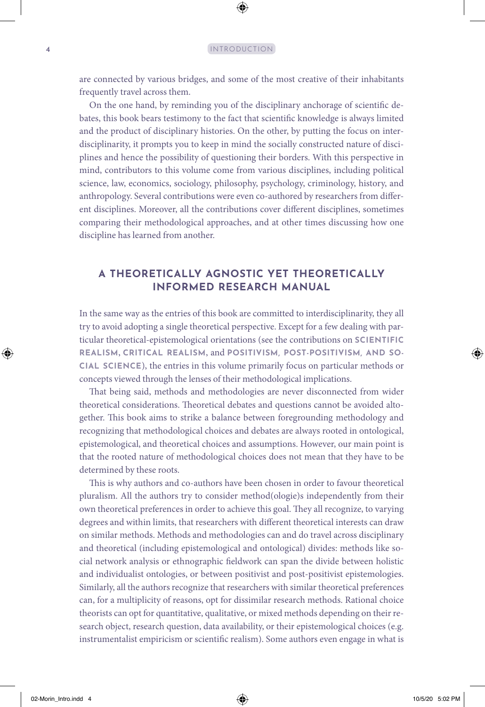are connected by various bridges, and some of the most creative of their inhabitants frequently travel across them.

On the one hand, by reminding you of the disciplinary anchorage of scientific debates, this book bears testimony to the fact that scientific knowledge is always limited and the product of disciplinary histories. On the other, by putting the focus on interdisciplinarity, it prompts you to keep in mind the socially constructed nature of disciplines and hence the possibility of questioning their borders. With this perspective in mind, contributors to this volume come from various disciplines, including political science, law, economics, sociology, philosophy, psychology, criminology, history, and anthropology. Several contributions were even co-authored by researchers from different disciplines. Moreover, all the contributions cover different disciplines, sometimes comparing their methodological approaches, and at other times discussing how one discipline has learned from another.

# **A THEORETICALLY AGNOSTIC YET THEORETICALLY INFORMED RESEARCH MANUAL**

In the same way as the entries of this book are committed to interdisciplinarity, they all try to avoid adopting a single theoretical perspective. Except for a few dealing with particular theoretical-epistemological orientations (see the contributions on **SCIENTIFIC REALISM**, **CRITICAL REALISM**, and **POSITIVISM, POST-POSITIVISM, AND SO-CIAL SCIENCE**), the entries in this volume primarily focus on particular methods or concepts viewed through the lenses of their methodological implications.

That being said, methods and methodologies are never disconnected from wider theoretical considerations. Theoretical debates and questions cannot be avoided altogether. This book aims to strike a balance between foregrounding methodology and recognizing that methodological choices and debates are always rooted in ontological, epistemological, and theoretical choices and assumptions. However, our main point is that the rooted nature of methodological choices does not mean that they have to be determined by these roots.

This is why authors and co-authors have been chosen in order to favour theoretical pluralism. All the authors try to consider method(ologie)s independently from their own theoretical preferences in order to achieve this goal. They all recognize, to varying degrees and within limits, that researchers with different theoretical interests can draw on similar methods. Methods and methodologies can and do travel across disciplinary and theoretical (including epistemological and ontological) divides: methods like social network analysis or ethnographic fieldwork can span the divide between holistic and individualist ontologies, or between positivist and post-positivist epistemologies. Similarly, all the authors recognize that researchers with similar theoretical preferences can, for a multiplicity of reasons, opt for dissimilar research methods. Rational choice theorists can opt for quantitative, qualitative, or mixed methods depending on their research object, research question, data availability, or their epistemological choices (e.g. instrumentalist empiricism or scientific realism). Some authors even engage in what is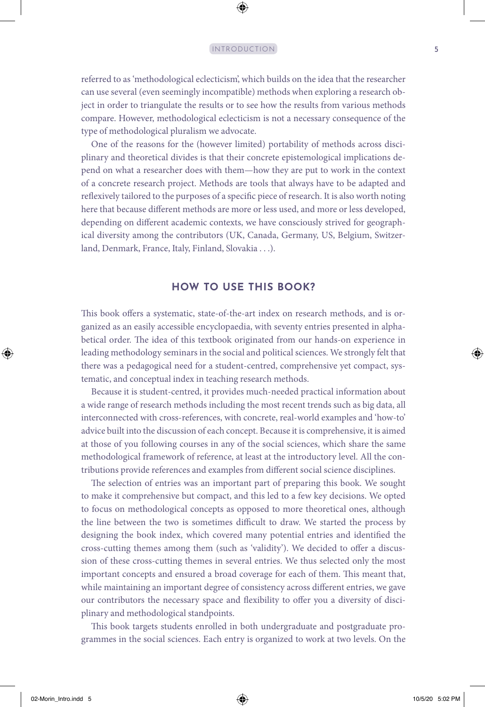#### INTRODUCTION 5

referred to as 'methodological eclecticism', which builds on the idea that the researcher can use several (even seemingly incompatible) methods when exploring a research object in order to triangulate the results or to see how the results from various methods compare. However, methodological eclecticism is not a necessary consequence of the type of methodological pluralism we advocate.

One of the reasons for the (however limited) portability of methods across disciplinary and theoretical divides is that their concrete epistemological implications depend on what a researcher does with them—how they are put to work in the context of a concrete research project. Methods are tools that always have to be adapted and reflexively tailored to the purposes of a specific piece of research. It is also worth noting here that because different methods are more or less used, and more or less developed, depending on different academic contexts, we have consciously strived for geographical diversity among the contributors (UK, Canada, Germany, US, Belgium, Switzerland, Denmark, France, Italy, Finland, Slovakia . . .).

## **HOW TO USE THIS BOOK?**

This book offers a systematic, state-of-the-art index on research methods, and is organized as an easily accessible encyclopaedia, with seventy entries presented in alphabetical order. The idea of this textbook originated from our hands-on experience in leading methodology seminars in the social and political sciences. We strongly felt that there was a pedagogical need for a student-centred, comprehensive yet compact, systematic, and conceptual index in teaching research methods.

Because it is student-centred, it provides much-needed practical information about a wide range of research methods including the most recent trends such as big data, all interconnected with cross-references, with concrete, real-world examples and 'how-to' advice built into the discussion of each concept. Because it is comprehensive, it is aimed at those of you following courses in any of the social sciences, which share the same methodological framework of reference, at least at the introductory level. All the contributions provide references and examples from different social science disciplines.

The selection of entries was an important part of preparing this book. We sought to make it comprehensive but compact, and this led to a few key decisions. We opted to focus on methodological concepts as opposed to more theoretical ones, although the line between the two is sometimes difficult to draw. We started the process by designing the book index, which covered many potential entries and identified the cross-cutting themes among them (such as 'validity'). We decided to offer a discussion of these cross-cutting themes in several entries. We thus selected only the most important concepts and ensured a broad coverage for each of them. This meant that, while maintaining an important degree of consistency across different entries, we gave our contributors the necessary space and flexibility to offer you a diversity of disciplinary and methodological standpoints.

This book targets students enrolled in both undergraduate and postgraduate programmes in the social sciences. Each entry is organized to work at two levels. On the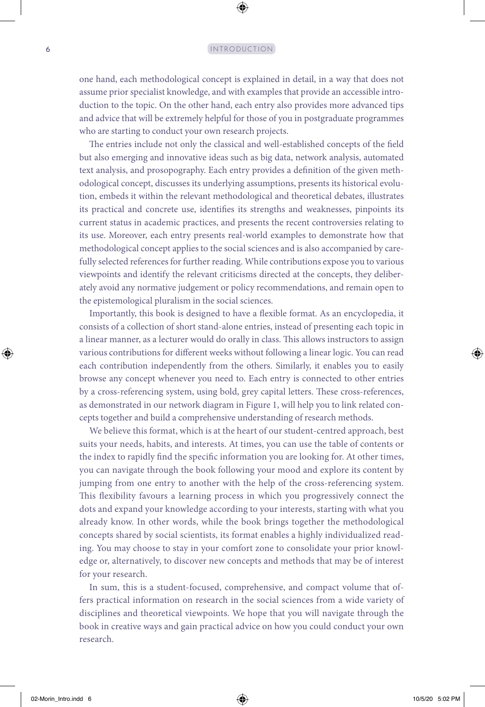#### 6 INTRODUCTION

one hand, each methodological concept is explained in detail, in a way that does not assume prior specialist knowledge, and with examples that provide an accessible introduction to the topic. On the other hand, each entry also provides more advanced tips and advice that will be extremely helpful for those of you in postgraduate programmes who are starting to conduct your own research projects.

The entries include not only the classical and well-established concepts of the field but also emerging and innovative ideas such as big data, network analysis, automated text analysis, and prosopography. Each entry provides a definition of the given methodological concept, discusses its underlying assumptions, presents its historical evolution, embeds it within the relevant methodological and theoretical debates, illustrates its practical and concrete use, identifies its strengths and weaknesses, pinpoints its current status in academic practices, and presents the recent controversies relating to its use. Moreover, each entry presents real-world examples to demonstrate how that methodological concept applies to the social sciences and is also accompanied by carefully selected references for further reading. While contributions expose you to various viewpoints and identify the relevant criticisms directed at the concepts, they deliberately avoid any normative judgement or policy recommendations, and remain open to the epistemological pluralism in the social sciences.

Importantly, this book is designed to have a flexible format. As an encyclopedia, it consists of a collection of short stand-alone entries, instead of presenting each topic in a linear manner, as a lecturer would do orally in class. This allows instructors to assign various contributions for different weeks without following a linear logic. You can read each contribution independently from the others. Similarly, it enables you to easily browse any concept whenever you need to. Each entry is connected to other entries by a cross-referencing system, using bold, grey capital letters. These cross-references, as demonstrated in our network diagram in Figure 1, will help you to link related concepts together and build a comprehensive understanding of research methods.

We believe this format, which is at the heart of our student-centred approach, best suits your needs, habits, and interests. At times, you can use the table of contents or the index to rapidly find the specific information you are looking for. At other times, you can navigate through the book following your mood and explore its content by jumping from one entry to another with the help of the cross-referencing system. This flexibility favours a learning process in which you progressively connect the dots and expand your knowledge according to your interests, starting with what you already know. In other words, while the book brings together the methodological concepts shared by social scientists, its format enables a highly individualized reading. You may choose to stay in your comfort zone to consolidate your prior knowledge or, alternatively, to discover new concepts and methods that may be of interest for your research.

In sum, this is a student-focused, comprehensive, and compact volume that offers practical information on research in the social sciences from a wide variety of disciplines and theoretical viewpoints. We hope that you will navigate through the book in creative ways and gain practical advice on how you could conduct your own research.